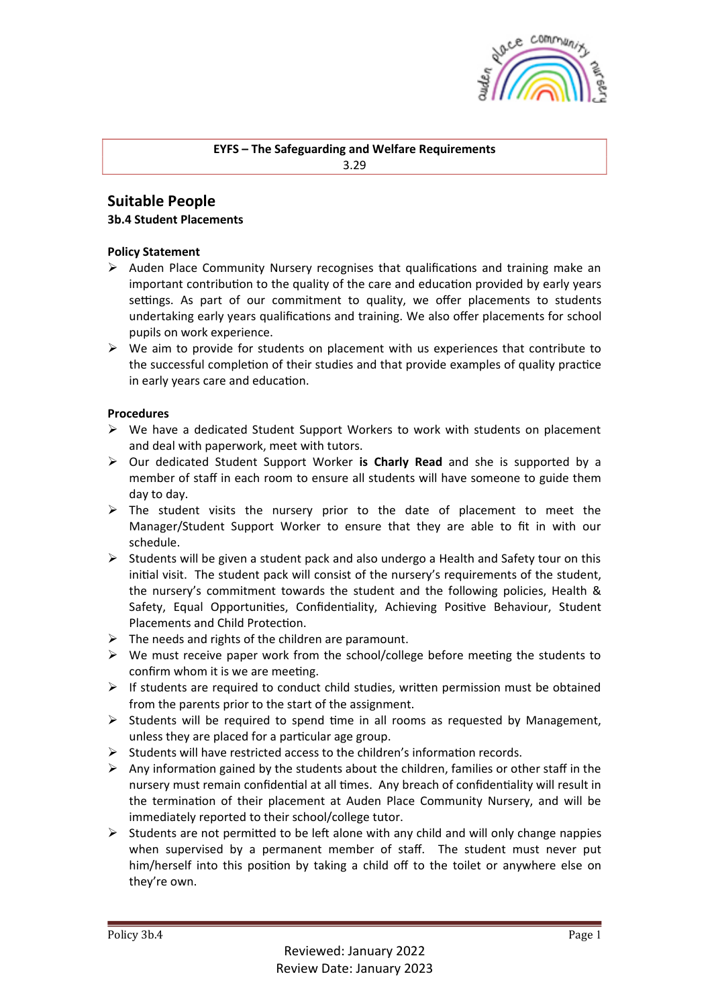

# **EYFS** – The Safeguarding and Welfare Requirements

3.29

# **Suitable People**

#### **3b.4 Student Placements**

## **Policy Statement**

- $\triangleright$  Auden Place Community Nursery recognises that qualifications and training make an important contribution to the quality of the care and education provided by early years settings. As part of our commitment to quality, we offer placements to students undertaking early years qualifications and training. We also offer placements for school pupils on work experience.
- $\triangleright$  We aim to provide for students on placement with us experiences that contribute to the successful completion of their studies and that provide examples of quality practice in early years care and education.

## **Procedures**

- $\triangleright$  We have a dedicated Student Support Workers to work with students on placement and deal with paperwork, meet with tutors.
- Ø Our dedicated Student Support Worker **is Charly Read** and she is supported by a member of staff in each room to ensure all students will have someone to guide them day to day.
- $\triangleright$  The student visits the nursery prior to the date of placement to meet the Manager/Student Support Worker to ensure that they are able to fit in with our schedule.
- $\triangleright$  Students will be given a student pack and also undergo a Health and Safety tour on this initial visit. The student pack will consist of the nursery's requirements of the student, the nursery's commitment towards the student and the following policies, Health & Safety, Equal Opportunities, Confidentiality, Achieving Positive Behaviour, Student Placements and Child Protection.
- $\triangleright$  The needs and rights of the children are paramount.
- $\triangleright$  We must receive paper work from the school/college before meeting the students to confirm whom it is we are meeting.
- $\triangleright$  If students are required to conduct child studies, written permission must be obtained from the parents prior to the start of the assignment.
- $\triangleright$  Students will be required to spend time in all rooms as requested by Management, unless they are placed for a particular age group.
- $\triangleright$  Students will have restricted access to the children's information records.
- Any information gained by the students about the children, families or other staff in the nursery must remain confidential at all times. Any breach of confidentiality will result in the termination of their placement at Auden Place Community Nursery, and will be immediately reported to their school/college tutor.
- $\triangleright$  Students are not permitted to be left alone with any child and will only change nappies when supervised by a permanent member of staff. The student must never put him/herself into this position by taking a child off to the toilet or anywhere else on they're own.